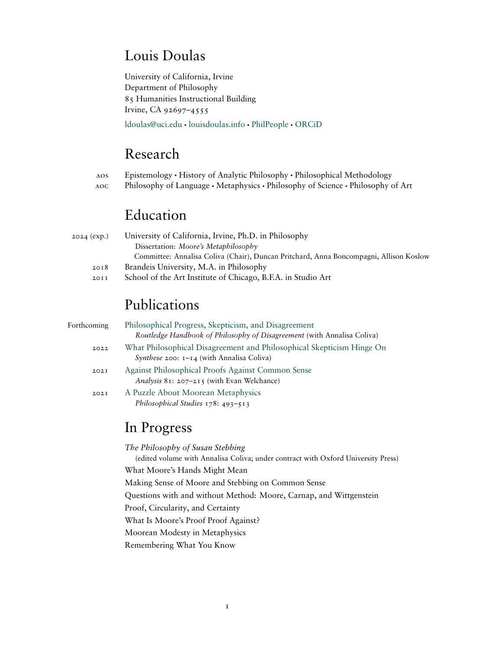#### Louis Doulas

University of California, Irvine Department of Philosophy 85 Humanities Instructional Building Irvine, CA 92697–4555

[ldoulas@uci.edu](mailto:ldoulas@uci.edu) *•* [louisdoulas.info](http://www.louisdoulas.info/) *•* [PhilPeople](https://philpeople.org/profiles/louis-doulas/) *•* [ORCiD](https://orcid.org/0000-0002-6810-8347)

#### Research

| AOS | Epistemology • History of Analytic Philosophy • Philosophical Methodology        |
|-----|----------------------------------------------------------------------------------|
| AOC | Philosophy of Language • Metaphysics • Philosophy of Science • Philosophy of Art |

#### Education

| 2024 (exp.)      | University of California, Irvine, Ph.D. in Philosophy                                  |
|------------------|----------------------------------------------------------------------------------------|
|                  | Dissertation: Moore's Metaphilosophy                                                   |
|                  | Committee: Annalisa Coliva (Chair), Duncan Pritchard, Anna Boncompagni, Allison Koslow |
| 2018             | Brandeis University, M.A. in Philosophy                                                |
| 20I <sub>I</sub> | School of the Art Institute of Chicago, B.F.A. in Studio Art                           |

## Publications

Forthcoming [Philosophical Progress, Skepticism, and Disagreement](https://philpapers.org/go.pl?id=COLPPS-4&proxyId=&u=https%3A%2F%2Fphilpapers.org%2Farchive%2FCOLPPS-4.pdf) *Routledge Handbook of Philosophy of Disagreement* (with Annalisa Coliva) 2022 [What Philosophical Disagreement and Philosophical Skepticism Hinge On](https://philpapers.org/go.pl?id=COLWPD&proxyId=&u=https%3A%2F%2Fphilpapers.org%2Farchive%2FCOLWPD.pdf) *Synthese* 200: 1–14 (with Annalisa Coliva) 2021 [Against Philosophical Proofs Against Common Sense](https://philpapers.org/rec/DOUAPP-2) *Analysis* 81: 207–215 (with Evan Welchance) 2021 [A Puzzle About Moorean Metaphysics](https://philpapers.org/archive/DOUAPA-2.pdf) *Philosophical Studies* 178: 493–513

#### In Progress

*The Philosophy of Susan Stebbing* (edited volume with Annalisa Coliva; under contract with Oxford University Press) What Moore's Hands Might Mean Making Sense of Moore and Stebbing on Common Sense Questions with and without Method: Moore, Carnap, and Wittgenstein Proof, Circularity, and Certainty What Is Moore's Proof Proof Against? Moorean Modesty in Metaphysics Remembering What You Know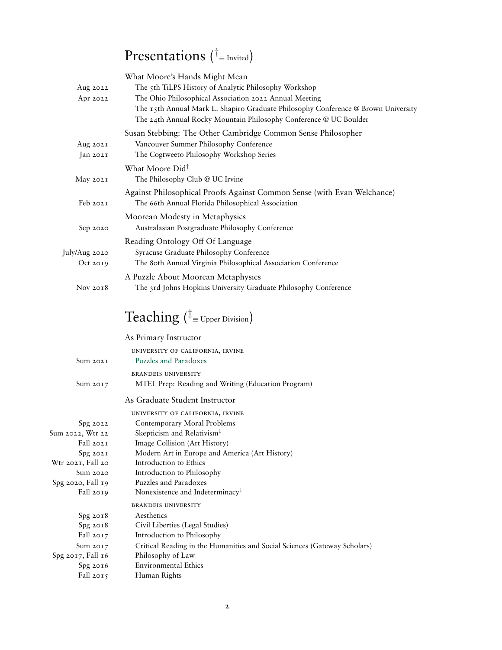## Presentations (*† <sup>≡</sup>* Invited)

|               | What Moore's Hands Might Mean                                                     |
|---------------|-----------------------------------------------------------------------------------|
| Aug 2022      | The 5th TiLPS History of Analytic Philosophy Workshop                             |
| Apr 2022      | The Ohio Philosophical Association 2022 Annual Meeting                            |
|               | The 15th Annual Mark L. Shapiro Graduate Philosophy Conference @ Brown University |
|               | The 24th Annual Rocky Mountain Philosophy Conference @ UC Boulder                 |
|               | Susan Stebbing: The Other Cambridge Common Sense Philosopher                      |
| Aug $202I$    | Vancouver Summer Philosophy Conference                                            |
| Jan 202I      | The Cogtweeto Philosophy Workshop Series                                          |
|               | What Moore Did <sup>†</sup>                                                       |
| May 2021      | The Philosophy Club @ UC Irvine                                                   |
|               | Against Philosophical Proofs Against Common Sense (with Evan Welchance)           |
| Feb 202I      | The 66th Annual Florida Philosophical Association                                 |
|               | Moorean Modesty in Metaphysics                                                    |
| $Sep\ 2020$   | Australasian Postgraduate Philosophy Conference                                   |
|               | Reading Ontology Off Of Language                                                  |
| July/Aug 2020 | Syracuse Graduate Philosophy Conference                                           |
| Oct 2019      | The 80th Annual Virginia Philosophical Association Conference                     |
|               | A Puzzle About Moorean Metaphysics                                                |
| Nov $2018$    | The 3rd Johns Hopkins University Graduate Philosophy Conference                   |

## Teaching (*‡ <sup>≡</sup>* Upper Division)

|                   | As Primary Instructor                                                     |
|-------------------|---------------------------------------------------------------------------|
|                   | UNIVERSITY OF CALIFORNIA, IRVINE                                          |
| Sum 2021          | Puzzles and Paradoxes                                                     |
|                   | <b>BRANDEIS UNIVERSITY</b>                                                |
| Sum 2017          | MTEL Prep: Reading and Writing (Education Program)                        |
|                   | As Graduate Student Instructor                                            |
|                   | UNIVERSITY OF CALIFORNIA, IRVINE                                          |
| $Spg$ 2022        | Contemporary Moral Problems                                               |
| Sum 2022, Wtr 22  | Skepticism and Relativism <sup>‡</sup>                                    |
| Fall 202T         | Image Collision (Art History)                                             |
| Spg 202I          | Modern Art in Europe and America (Art History)                            |
| Wtr 2021, Fall 20 | Introduction to Ethics                                                    |
| Sum 2020          | Introduction to Philosophy                                                |
| Spg 2020, Fall 19 | Puzzles and Paradoxes                                                     |
| Fall 2019         | Nonexistence and Indeterminacy <sup>‡</sup>                               |
|                   | <b>BRANDEIS UNIVERSITY</b>                                                |
| Spg 2018          | Aesthetics                                                                |
| Spg 2018          | Civil Liberties (Legal Studies)                                           |
| Fall 2017         | Introduction to Philosophy                                                |
| Sum $2017$        | Critical Reading in the Humanities and Social Sciences (Gateway Scholars) |
| Spg 2017, Fall 16 | Philosophy of Law                                                         |
| Spg 2016          | <b>Environmental Ethics</b>                                               |
| Fall 2015         | Human Rights                                                              |
|                   |                                                                           |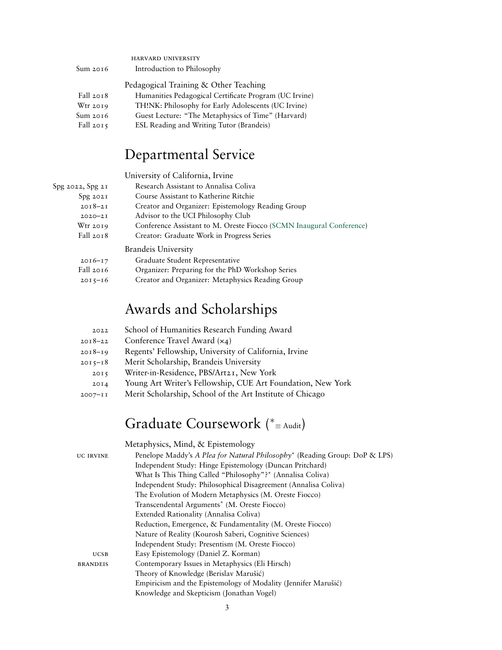| HARVARD UNIVERSITY                                     |
|--------------------------------------------------------|
| Introduction to Philosophy                             |
| Pedagogical Training & Other Teaching                  |
| Humanities Pedagogical Certificate Program (UC Irvine) |
| TH!NK: Philosophy for Early Adolescents (UC Irvine)    |
| Guest Lecture: "The Metaphysics of Time" (Harvard)     |
| ESL Reading and Writing Tutor (Brandeis)               |
|                                                        |

# Departmental Service

University of California, Irvine

| Spg 2022, Spg 21 | Research Assistant to Annalisa Coliva                                                                                  |
|------------------|------------------------------------------------------------------------------------------------------------------------|
| Spg 202I         | Course Assistant to Katherine Ritchie                                                                                  |
| $2018 - 21$      | Creator and Organizer: Epistemology Reading Group                                                                      |
| $2020 - 21$      | Advisor to the UCI Philosophy Club                                                                                     |
| $W$ tr 2019      | Conference Assistant to M. Oreste Fiocco (SCMN Inaugural Conference)                                                   |
| Fall $20I8$      | Creator: Graduate Work in Progress Series                                                                              |
|                  | <b>Brandeis University</b>                                                                                             |
| $2016 - 17$      | Graduate Student Representative                                                                                        |
| $E.11 - -2$      | $Q_{\text{max}}$ is a possessing fraction $\mathbf{D}$ . $\mathbf{D}$ , $\mathbf{W}$ and $\mathbf{D}$ and $\mathbf{C}$ |

Fall 2016 Organizer: Preparing for the PhD Workshop Series 2015–16 Creator and Organizer: Metaphysics Reading Group

# Awards and Scholarships

| 2022         | School of Humanities Research Funding Award                 |
|--------------|-------------------------------------------------------------|
| $2018 - 22$  | Conference Travel Award $(x_4)$                             |
| $2018 - 19$  | Regents' Fellowship, University of California, Irvine       |
| $2015 - 18$  | Merit Scholarship, Brandeis University                      |
| 2015         | Writer-in-Residence, PBS/Art21, New York                    |
| 20I4         | Young Art Writer's Fellowship, CUE Art Foundation, New York |
| $2007 - I I$ | Merit Scholarship, School of the Art Institute of Chicago   |
|              |                                                             |

# Graduate Coursework (*<sup>∗</sup> <sup>≡</sup>* Audit)

Metaphysics, Mind, & Epistemology

| <b>UC IRVINE</b> | Penelope Maddy's A Plea for Natural Philosophy <sup>*</sup> (Reading Group: DoP & LPS) |
|------------------|----------------------------------------------------------------------------------------|
|                  | Independent Study: Hinge Epistemology (Duncan Pritchard)                               |
|                  | What Is This Thing Called "Philosophy"?* (Annalisa Coliva)                             |
|                  | Independent Study: Philosophical Disagreement (Annalisa Coliva)                        |
|                  | The Evolution of Modern Metaphysics (M. Oreste Fiocco)                                 |
|                  | Transcendental Arguments* (M. Oreste Fiocco)                                           |
|                  | Extended Rationality (Annalisa Coliva)                                                 |
|                  | Reduction, Emergence, & Fundamentality (M. Oreste Fiocco)                              |
|                  | Nature of Reality (Kourosh Saberi, Cognitive Sciences)                                 |
|                  | Independent Study: Presentism (M. Oreste Fiocco)                                       |
| <b>UCSB</b>      | Easy Epistemology (Daniel Z. Korman)                                                   |
| <b>BRANDEIS</b>  | Contemporary Issues in Metaphysics (Eli Hirsch)                                        |
|                  | Theory of Knowledge (Berislav Marušić)                                                 |
|                  | Empiricism and the Epistemology of Modality (Jennifer Marušić)                         |
|                  | Knowledge and Skepticism (Jonathan Vogel)                                              |
|                  |                                                                                        |